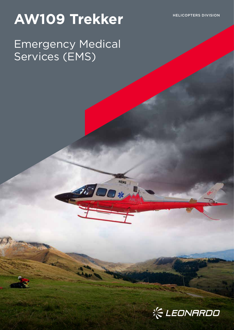# AW109 Trekker
HELICOPTERS DIVISION

## Emergency Medical Services (EMS)

**HEMS** 

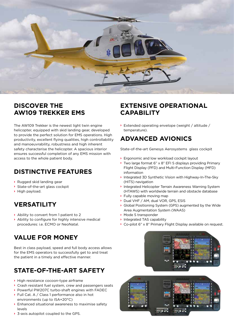

## **DISCOVER THE AW109 TREKKER EMS**

The AW109 Trekker is the newest light twin engine helicopter, equipped with skid landing gear, developed to provide the perfect solution for EMS operations. High productivity, excellent flying qualities, high controllability and manoeuvrability, robustness and high inherent safety characterise the helicopter. A spacious interior ensures successful completion of any EMS mission with access to the whole patient body.

## **DISTINCTIVE FEATURES**

- **›** Rugged skid landing gear
- **›** State-of-the-art glass cockpit
- **›** High payload.

## **VERSATILITY**

- **›** Ability to convert from 1 patient to 2
- **›** Ability to configure for highly intensive medical procedures: i.e. ECMO or NeoNatal.

## **VALUE FOR MONEY**

Best in class payload, speed and full body access allows for the EMS operators to successfully get to and treat the patient in a timely and effective manner.

## **STATE-OF-THE-ART SAFETY**

- **›** High resistance cocoon-type airframe
- **›** Crash resistant fuel system, crew and passengers seats
- **›** Powerful PW207C turbo-shaft engines with FADEC
- **›** Full Cat. A / Class 1 performance also in hot environments (up to ISA+20°C)
- **›** Enhanced situational awareness to maximise safety levels
- **›** 3-axis autopilot coupled to the GPS.

## **EXTENSIVE OPERATIONAL CAPABILITY**

**›** Extended operating envelope (weight / altitude / temperature).

## **ADVANCED AVIONICS**

State-of-the-art Genesys Aerosystems glass cockpit

- **›** Ergonomic and low workload cockpit layout
- **›** Two large format 6" x 8" EFI S displays providing Primary Flight Display (PFD) and Multi-Function Display (MFD) information
- **›** Integrated 3D Synthetic Vision with Highway-In-The-Sky (HITS) navigation
- **›** Integrated Helicopter Terrain Awareness Warning System (HTAWS) with worldwide terrain and obstacle database
- **›** Fully capable moving map
- **›** Dual VHF / AM, dual VOR, GPS, ESIS
- **›** Global Positioning System (GPS) augmented by the Wide Area Augmentation System (WAAS)
- **›** Mode S transponder
- **›** Integrated TAS capability
- **›** Co-pilot 6" x 8" Primary Flight Display available on request.



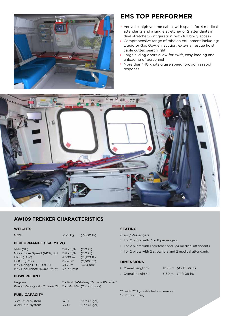

### **EMS TOP PERFORMER**

- **›** Versatile, high volume cabin, with space for 4 medical attendants and a single stretcher or 2 attendants in dual stretcher configuration, with full body access
- **›** Comprehensive range of mission equipment including: Liquid or Gas Oxygen, suction, external rescue hoist, cable cutter, searchlight
- **›** Large sliding doors allow for swift, easy loading and unloading of personnel
- **›** More than 140 knots cruise speed, providing rapid response.



#### **AW109 TREKKER CHARACTERISTICS**

#### **WEIGHTS**

| MGW | 3,175 kg | $(7,000$ lb) |
|-----|----------|--------------|
|     |          |              |

#### **PERFORMANCE (ISA, MGW)**

| VNE (SL)                     | 281 km/h   | $(152$ kt)            |
|------------------------------|------------|-----------------------|
| Max Cruise Speed (MCP, SL)   | 281 km/h   | (152 kt)              |
| HIGE (TOP)                   | 4.609 m    | $(15,120 \text{ ft})$ |
| HOGE (TOP)                   | 2.926 m    | (9.600 ft)            |
| Max Range (5,000 ft) (1)     | 685 km     | $(370 \text{ nm})$    |
| Max Endurance (5,000 ft) (1) | 3 h 35 min |                       |
|                              |            |                       |

#### **POWERPLANT**

Engines 2 x Pratt&Whitney Canada PW207C Power Rating - AEO Take-Off 2 x 548 kW (2 x 735 shp)

#### **FUEL CAPACITY**

| 3-cell fuel system | 5751  | $(152 \cup$ Sgal $)$  |
|--------------------|-------|-----------------------|
| 4-cell fuel system | 669 I | $(177 \text{ USgal})$ |

#### **SEATING**

Crew / Passengers:

- › 1 or 2 pilots with 7 or 6 passengers
- $\rightarrow$  1 or 2 pilots with 1 stretcher and 3/4 medical attendants
- › 1 or 2 pilots with 2 stretchers and 2 medical attendants

#### **DIMENSIONS**

- $\rightarrow$  Overall length <sup>(2)</sup> 12.96 m (42 ft 06 in)
- $\rightarrow$  Overall height <sup>(2)</sup> 3.60 m (11 ft 09 in)
- 

(1) with 525 kg usable fuel - no reserve (2) Rotors turning